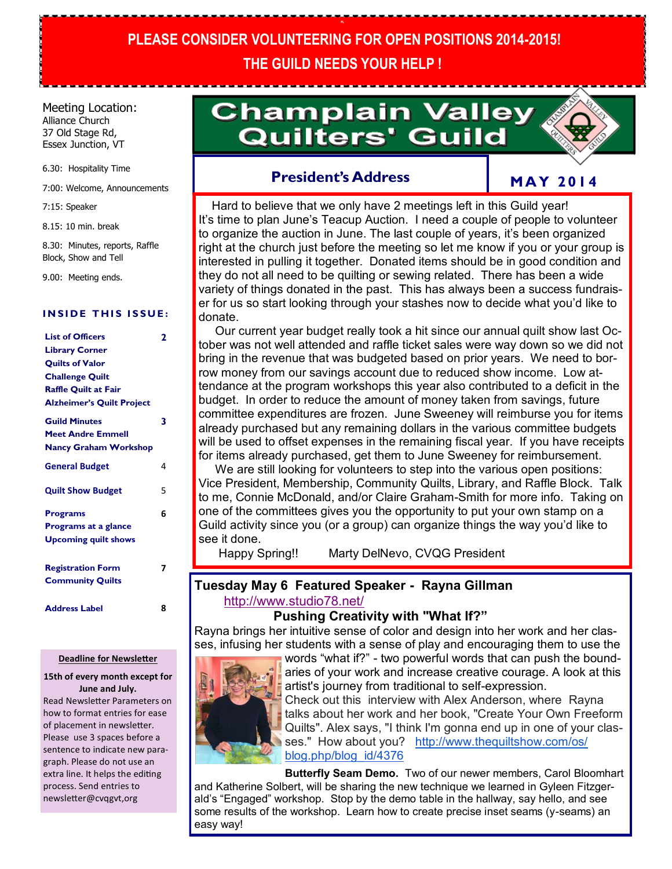# **PLEASE CONSIDER VOLUNTEERING FOR OPEN POSITIONS 2014-2015! THE GUILD NEEDS YOUR HELP !**

**PL**

#### Meeting Location: Alliance Church 37 Old Stage Rd,

Essex Junction, VT

6.30: Hospitality Time

7:00: Welcome, Announcements

7:15: Speaker

8.15: 10 min. break

8.30: Minutes, reports, Raffle Block, Show and Tell

9.00: Meeting ends.

#### **INSIDE THIS ISSUE:**

| <b>List of Officers</b><br><b>Library Corner</b><br><b>Quilts of Valor</b><br><b>Challenge Quilt</b><br>Raffle Quilt at Fair<br><b>Alzheimer's Quilt Project</b> | 2 |
|------------------------------------------------------------------------------------------------------------------------------------------------------------------|---|
| <b>Guild Minutes</b><br><b>Meet Andre Emmell</b><br><b>Nancy Graham Workshop</b>                                                                                 | 3 |
| <b>General Budget</b>                                                                                                                                            | 4 |
| <b>Quilt Show Budget</b>                                                                                                                                         | 5 |
| <b>Programs</b>                                                                                                                                                  | 6 |
| Programs at a glance                                                                                                                                             |   |
| <b>Upcoming quilt shows</b>                                                                                                                                      |   |
| <b>Registration Form</b><br><b>Community Quilts</b>                                                                                                              | 7 |
| <b>Address Label</b>                                                                                                                                             | 8 |

#### **Deadline for Newsletter**

#### **15th of every month except for June and July.**

Read Newsletter Parameters on how to format entries for ease of placement in newsletter. Please use 3 spaces before a sentence to indicate new paragraph. Please do not use an extra line. It helps the editing process. Send entries to newsletter@cvqgvt,org

# **Champlain Valley Quilters' Guild**



## **President's Address**

# **M A Y 2 0 1 4**

 Hard to believe that we only have 2 meetings left in this Guild year! It's time to plan June's Teacup Auction. I need a couple of people to volunteer to organize the auction in June. The last couple of years, it's been organized right at the church just before the meeting so let me know if you or your group is interested in pulling it together. Donated items should be in good condition and they do not all need to be quilting or sewing related. There has been a wide variety of things donated in the past. This has always been a success fundraiser for us so start looking through your stashes now to decide what you'd like to donate.

 Our current year budget really took a hit since our annual quilt show last October was not well attended and raffle ticket sales were way down so we did not bring in the revenue that was budgeted based on prior years. We need to borrow money from our savings account due to reduced show income. Low attendance at the program workshops this year also contributed to a deficit in the budget. In order to reduce the amount of money taken from savings, future committee expenditures are frozen. June Sweeney will reimburse you for items already purchased but any remaining dollars in the various committee budgets will be used to offset expenses in the remaining fiscal year. If you have receipts for items already purchased, get them to June Sweeney for reimbursement.

We are still looking for volunteers to step into the various open positions: Vice President, Membership, Community Quilts, Library, and Raffle Block. Talk to me, Connie McDonald, and/or Claire Graham-Smith for more info. Taking on one of the committees gives you the opportunity to put your own stamp on a Guild activity since you (or a group) can organize things the way you'd like to see it done.

Happy Spring!! Marty DelNevo, CVQG President

#### **Tuesday May 6 Featured Speaker - Rayna Gillman**  <http://www.studio78.net/>

#### **Pushing Creativity with "What If?"**

Rayna brings her intuitive sense of color and design into her work and her classes, infusing her students with a sense of play and encouraging them to use the



words "what if?" - two powerful words that can push the boundaries of your work and increase creative courage. A look at this artist's journey from traditional to self-expression. Check out this interview with Alex Anderson, where Rayna talks about her work and her book, "Create Your Own Freeform Quilts". Alex says, "I think I'm gonna end up in one of your classes." How about you? [http://www.thequiltshow.com/os/](http://www.thequiltshow.com/os/blog.php/blog_id/4376)

[blog.php/blog\\_id/4376](http://www.thequiltshow.com/os/blog.php/blog_id/4376)

**Butterfly Seam Demo.** Two of our newer members, Carol Bloomhart and Katherine Solbert, will be sharing the new technique we learned in Gyleen Fitzgerald's "Engaged" workshop. Stop by the demo table in the hallway, say hello, and see some results of the workshop. Learn how to create precise inset seams (y-seams) an easy way!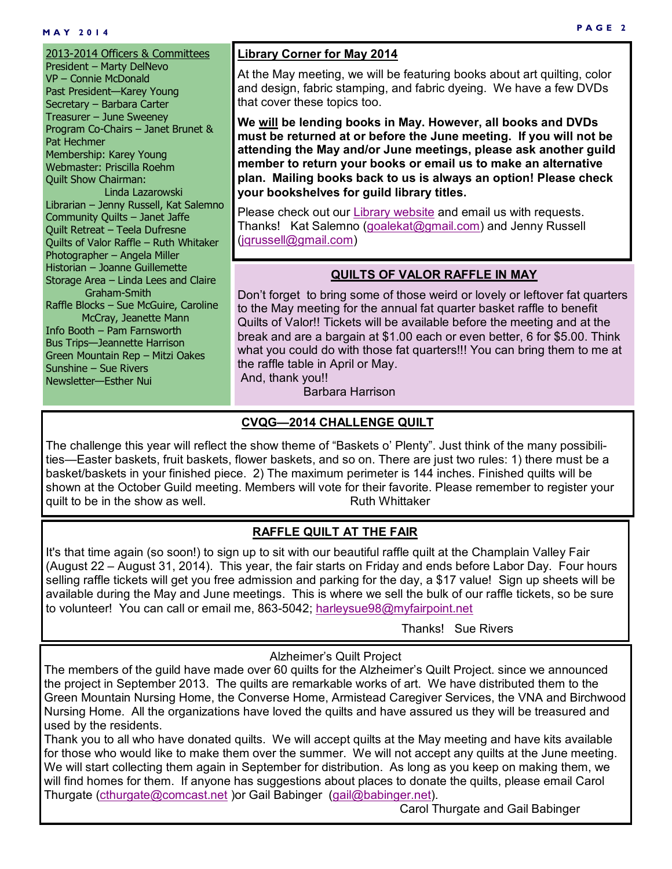2013-2014 Officers & Committees President – Marty DelNevo VP – Connie McDonald Past President—Karey Young Secretary – Barbara Carter Treasurer – June Sweeney Program Co-Chairs – Janet Brunet & Pat Hechmer Membership: Karey Young Webmaster: Priscilla Roehm Quilt Show Chairman: Linda Lazarowski Librarian – Jenny Russell, Kat Salemno Community Quilts – Janet Jaffe Quilt Retreat – Teela Dufresne Quilts of Valor Raffle – Ruth Whitaker Photographer – Angela Miller Historian – Joanne Guillemette Storage Area – Linda Lees and Claire Graham-Smith Raffle Blocks – Sue McGuire, Caroline McCray, Jeanette Mann Info Booth – Pam Farnsworth Bus Trips—Jeannette Harrison Green Mountain Rep – Mitzi Oakes Sunshine – Sue Rivers Newsletter—Esther Nui

#### **Library Corner for May 2014**

At the May meeting, we will be featuring books about art quilting, color and design, fabric stamping, and fabric dyeing. We have a few DVDs that cover these topics too.

**We will be lending books in May. However, all books and DVDs must be returned at or before the June meeting. If you will not be attending the May and/or June meetings, please ask another guild member to return your books or email us to make an alternative plan. Mailing books back to us is always an option! Please check your bookshelves for guild library titles.** 

Please check out our [Library website](C:/Users/NUI/CVQG related/CVQG Newsletter/2013-2014 Newsletter/I_May 2014/May 2014 print version.pub) and email us with requests. Thanks! Kat Salemno [\(goalekat@gmail.com\)](mailto:goalekat@gmail.com) and Jenny Russell (igrussell@gmail.com)

#### **QUILTS OF VALOR RAFFLE IN MAY**

Don't forget to bring some of those weird or lovely or leftover fat quarters to the May meeting for the annual fat quarter basket raffle to benefit Quilts of Valor!! Tickets will be available before the meeting and at the break and are a bargain at \$1.00 each or even better, 6 for \$5.00. Think what you could do with those fat quarters!!! You can bring them to me at the raffle table in April or May. And, thank you!!

Barbara Harrison

#### **CVQG—2014 CHALLENGE QUILT**

The challenge this year will reflect the show theme of "Baskets o' Plenty". Just think of the many possibilities—Easter baskets, fruit baskets, flower baskets, and so on. There are just two rules: 1) there must be a basket/baskets in your finished piece. 2) The maximum perimeter is 144 inches. Finished quilts will be shown at the October Guild meeting. Members will vote for their favorite. Please remember to register your quilt to be in the show as well. The south Muslim Ruth Whittaker

### **RAFFLE QUILT AT THE FAIR**

It's that time again (so soon!) to sign up to sit with our beautiful raffle quilt at the Champlain Valley Fair (August 22 – August 31, 2014). This year, the fair starts on Friday and ends before Labor Day. Four hours selling raffle tickets will get you free admission and parking for the day, a \$17 value! Sign up sheets will be available during the May and June meetings. This is where we sell the bulk of our raffle tickets, so be sure to volunteer! You can call or email me, 863-5042; [harleysue98@myfairpoint.net](mailto:harleysue98@myfairpoint.net)

Thanks! Sue Rivers

#### Alzheimer's Quilt Project

The members of the guild have made over 60 quilts for the Alzheimer's Quilt Project. since we announced the project in September 2013. The quilts are remarkable works of art. We have distributed them to the Green Mountain Nursing Home, the Converse Home, Armistead Caregiver Services, the VNA and Birchwood Nursing Home. All the organizations have loved the quilts and have assured us they will be treasured and used by the residents.

Thank you to all who have donated quilts. We will accept quilts at the May meeting and have kits available for those who would like to make them over the summer. We will not accept any quilts at the June meeting. We will start collecting them again in September for distribution. As long as you keep on making them, we will find homes for them. If anyone has suggestions about places to donate the quilts, please email Carol Thurgate [\(cthurgate@comcast.net](mailto:cthurgate@comcast.net) ) or Gail Babinger [\(gail@babinger.net\).](mailto:gail@babinger.net)

Carol Thurgate and Gail Babinger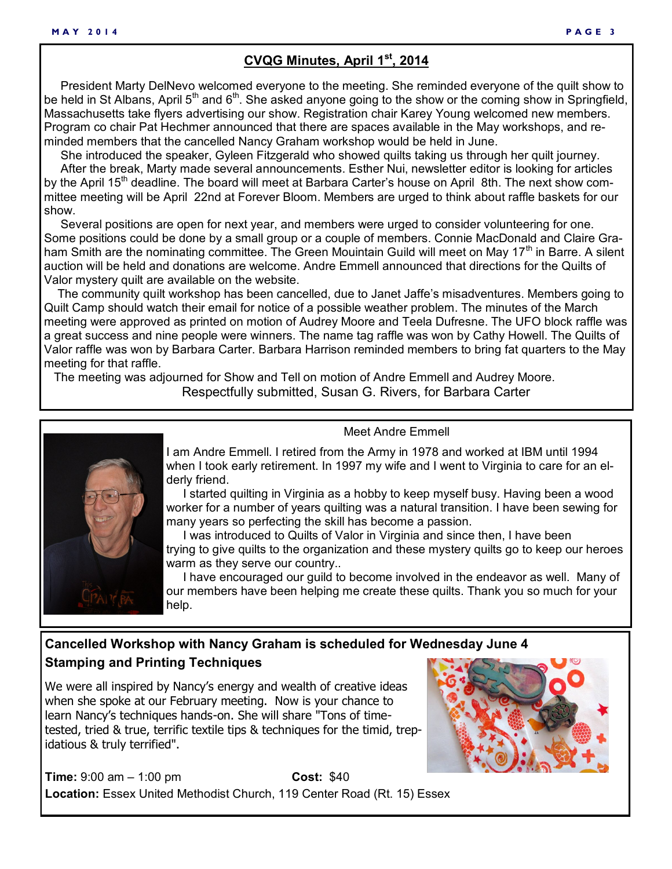# **CVQG Minutes, April 1st, 2014**

 President Marty DelNevo welcomed everyone to the meeting. She reminded everyone of the quilt show to be held in St Albans, April 5th and 6th. She asked anyone going to the show or the coming show in Springfield, Massachusetts take flyers advertising our show. Registration chair Karey Young welcomed new members. Program co chair Pat Hechmer announced that there are spaces available in the May workshops, and reminded members that the cancelled Nancy Graham workshop would be held in June.

 She introduced the speaker, Gyleen Fitzgerald who showed quilts taking us through her quilt journey. After the break, Marty made several announcements. Esther Nui, newsletter editor is looking for articles by the April 15<sup>th</sup> deadline. The board will meet at Barbara Carter's house on April 8th. The next show committee meeting will be April 22nd at Forever Bloom. Members are urged to think about raffle baskets for our show.

 Several positions are open for next year, and members were urged to consider volunteering for one. Some positions could be done by a small group or a couple of members. Connie MacDonald and Claire Graham Smith are the nominating committee. The Green Mouintain Guild will meet on May 17<sup>th</sup> in Barre. A silent auction will be held and donations are welcome. Andre Emmell announced that directions for the Quilts of Valor mystery quilt are available on the website.

 The community quilt workshop has been cancelled, due to Janet Jaffe's misadventures. Members going to Quilt Camp should watch their email for notice of a possible weather problem. The minutes of the March meeting were approved as printed on motion of Audrey Moore and Teela Dufresne. The UFO block raffle was a great success and nine people were winners. The name tag raffle was won by Cathy Howell. The Quilts of Valor raffle was won by Barbara Carter. Barbara Harrison reminded members to bring fat quarters to the May meeting for that raffle.

 The meeting was adjourned for Show and Tell on motion of Andre Emmell and Audrey Moore. Respectfully submitted, Susan G. Rivers, for Barbara Carter



#### Meet Andre Emmell

I am Andre Emmell. I retired from the Army in 1978 and worked at IBM until 1994 when I took early retirement. In 1997 my wife and I went to Virginia to care for an elderly friend.

 I started quilting in Virginia as a hobby to keep myself busy. Having been a wood worker for a number of years quilting was a natural transition. I have been sewing for many years so perfecting the skill has become a passion.

 I was introduced to Quilts of Valor in Virginia and since then, I have been trying to give quilts to the organization and these mystery quilts go to keep our heroes warm as they serve our country..

 I have encouraged our guild to become involved in the endeavor as well. Many of our members have been helping me create these quilts. Thank you so much for your help.

## **Cancelled Workshop with Nancy Graham is scheduled for Wednesday June 4 Stamping and Printing Techniques**

We were all inspired by Nancy's energy and wealth of creative ideas when she spoke at our February meeting. Now is your chance to learn Nancy's techniques hands-on. She will share "Tons of timetested, tried & true, terrific textile tips & techniques for the timid, trepidatious & truly terrified".

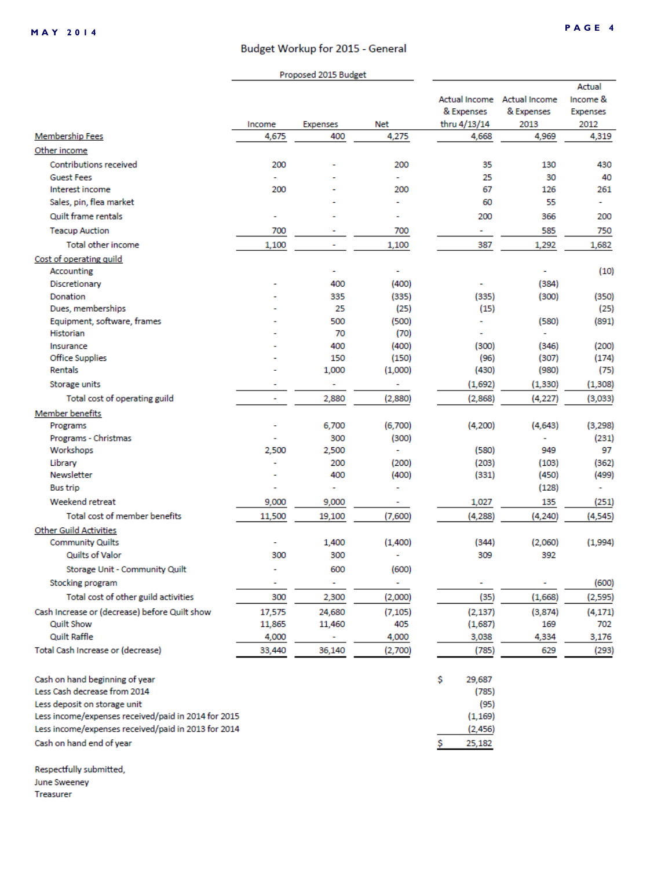#### PAGE 4

#### Budget Workup for 2015 - General

|                                                                |                          | Proposed 2015 Budget |                |                       |                             |                 |
|----------------------------------------------------------------|--------------------------|----------------------|----------------|-----------------------|-----------------------------|-----------------|
|                                                                |                          |                      |                |                       |                             | Actual          |
|                                                                |                          |                      |                |                       | Actual Income Actual Income | Income &        |
|                                                                |                          |                      |                | & Expenses            | & Expenses                  | <b>Expenses</b> |
|                                                                | Income                   | <b>Expenses</b>      | Net            | thru 4/13/14          | 2013                        | 2012            |
| <b>Membership Fees</b>                                         | 4,675                    | 400                  | 4,275          | 4,668                 | 4,969                       | 4,319           |
| Other income                                                   |                          |                      |                |                       |                             |                 |
| <b>Contributions received</b>                                  | 200                      |                      | 200            | 35                    | 130                         | 430             |
| <b>Guest Fees</b>                                              |                          |                      | $\overline{a}$ | 25                    | 30                          | 40              |
| Interest income                                                | 200                      |                      | 200            | 67                    | 126                         | 261             |
| Sales, pin, flea market                                        |                          |                      |                | 60                    | 55                          |                 |
| Quilt frame rentals                                            | ٠                        |                      |                | 200                   | 366                         | 200             |
| <b>Teacup Auction</b>                                          | 700                      |                      | 700            | ۰                     | 585                         | 750             |
| Total other income                                             | 1,100                    | ۰                    | 1,100          | 387                   | 1,292                       | 1,682           |
| Cost of operating quild                                        |                          |                      |                |                       |                             |                 |
| Accounting                                                     |                          | ۰                    | ۰              |                       |                             | (10)            |
| Discretionary                                                  |                          | 400                  | (400)          |                       | (384)                       |                 |
| Donation                                                       |                          | 335                  | (335)          | (335)                 | (300)                       | (350)           |
| Dues, memberships                                              |                          | 25                   | (25)           | (15)                  |                             | (25)            |
| Equipment, software, frames                                    |                          | 500                  | (500)          |                       | (580)                       | (891)           |
| Historian                                                      |                          | 70                   | (70)           |                       |                             |                 |
| Insurance                                                      |                          | 400                  | (400)          | (300)                 | (346)                       | (200)           |
| <b>Office Supplies</b>                                         |                          | 150                  | (150)          | (96)                  | (307)                       | (174)           |
| Rentals                                                        |                          | 1,000                | (1,000)        | (430)                 | (980)                       | (75)            |
| Storage units                                                  | ۰                        | ٠                    | ٠              | (1,692)               | (1, 330)                    | (1,308)         |
| Total cost of operating guild                                  | $\overline{\phantom{a}}$ | 2,880                | (2,880)        | (2,868)               | (4, 227)                    | (3,033)         |
| <b>Member benefits</b>                                         |                          |                      |                |                       |                             |                 |
| Programs                                                       |                          | 6,700                | (6,700)        | (4,200)               | (4,643)                     | (3,298)         |
| Programs - Christmas                                           |                          | 300                  | (300)          |                       |                             | (231)           |
| Workshops                                                      | 2,500                    | 2,500                | ÷.             | (580)                 | 949                         | 97              |
| Library                                                        |                          | 200                  | (200)          | (203)                 | (103)                       | (362)           |
| Newsletter                                                     |                          | 400                  | (400)          | (331)                 | (450)                       | (499)           |
| <b>Bus trip</b>                                                |                          | ÷                    |                |                       | (128)                       |                 |
| Weekend retreat                                                | 9,000                    | 9,000                |                | 1,027                 | 135                         | (251)           |
| Total cost of member benefits                                  | 11,500                   | 19,100               | (7,600)        | (4, 288)              | (4, 240)                    | (4, 545)        |
| <b>Other Guild Activities</b>                                  |                          |                      |                |                       |                             |                 |
| <b>Community Quilts</b>                                        | ۰                        | 1,400                | (1,400)        | (344)                 | (2,060)                     | (1,994)         |
| Quilts of Valor                                                | 300                      | 300                  |                | 309                   | 392                         |                 |
| Storage Unit - Community Quilt                                 |                          | 600                  | (600)          |                       |                             |                 |
| Stocking program                                               |                          | ÷,                   | ÷.             |                       |                             | (600)           |
| Total cost of other guild activities                           | 300                      | 2,300                | (2,000)        | (35)                  | (1,668)                     | (2,595)         |
| Cash Increase or (decrease) before Quilt show                  | 17,575                   | 24,680               | (7, 105)       | (2, 137)              | (3,874)                     | (4, 171)        |
| <b>Quilt Show</b>                                              | 11,865                   | 11,460               | 405            | (1,687)               | 169                         | 702             |
| <b>Quilt Raffle</b>                                            | 4,000                    |                      | 4,000          | 3,038                 | 4,334                       | 3,176           |
| Total Cash Increase or (decrease)                              | 33,440                   | 36,140               | (2,700)        | (785)                 | 629                         | (293)           |
|                                                                |                          |                      |                |                       |                             |                 |
|                                                                |                          |                      |                |                       |                             |                 |
| Cash on hand beginning of year<br>Less Cash decrease from 2014 |                          |                      |                | \$<br>29,687<br>(785) |                             |                 |
| Less deposit on storage unit                                   |                          |                      |                | (95)                  |                             |                 |
| Less income/expenses received/paid in 2014 for 2015            |                          |                      |                | (1, 169)              |                             |                 |
| Less income/expenses received/paid in 2013 for 2014            |                          |                      |                | (2, 456)              |                             |                 |
| Cash on hand end of year                                       |                          |                      |                |                       |                             |                 |
|                                                                |                          |                      |                | 25,182<br>s           |                             |                 |

Respectfully submitted, June Sweeney

Treasurer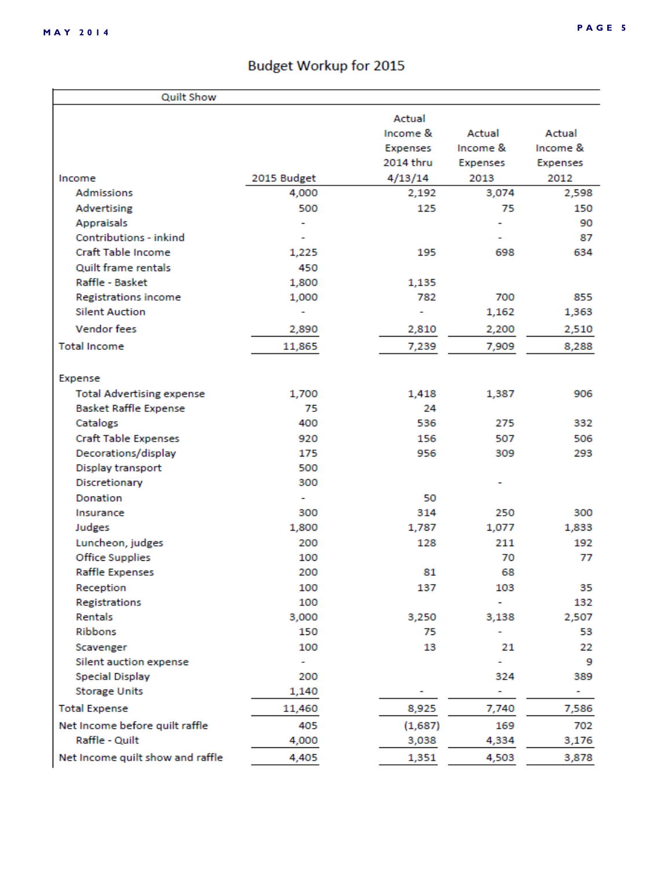# **Budget Workup for 2015**

| <b>Quilt Show</b>                |             |           |                 |                 |
|----------------------------------|-------------|-----------|-----------------|-----------------|
|                                  |             | Actual    |                 |                 |
|                                  |             | Income &  | Actual          | Actual          |
|                                  |             | Expenses  | Income &        | Income &        |
|                                  |             | 2014 thru | <b>Expenses</b> | <b>Expenses</b> |
| Income                           | 2015 Budget | 4/13/14   | 2013            | 2012            |
| <b>Admissions</b>                | 4,000       | 2,192     | 3,074           | 2,598           |
| Advertising                      | 500         | 125       | 75              | 150             |
| <b>Appraisals</b>                |             |           |                 | 90              |
| Contributions - inkind           |             |           |                 | 87              |
| Craft Table Income               | 1,225       | 195       | 698             | 634             |
| Quilt frame rentals              | 450         |           |                 |                 |
| Raffle - Basket                  | 1,800       | 1,135     |                 |                 |
| <b>Registrations income</b>      | 1,000       | 782       | 700             | 855             |
| <b>Silent Auction</b>            |             | ٠         | 1,162           | 1,363           |
| <b>Vendor fees</b>               | 2,890       | 2,810     | 2,200           | 2,510           |
| <b>Total Income</b>              | 11,865      | 7,239     | 7,909           | 8,288           |
|                                  |             |           |                 |                 |
| Expense                          |             |           |                 |                 |
| <b>Total Advertising expense</b> | 1,700       | 1,418     | 1,387           | 906             |
| <b>Basket Raffle Expense</b>     | 75          | 24        |                 |                 |
| Catalogs                         | 400         | 536       | 275             | 332             |
| <b>Craft Table Expenses</b>      | 920         | 156       | 507             | 506             |
| Decorations/display              | 175         | 956       | 309             | 293             |
| Display transport                | 500         |           |                 |                 |
| Discretionary                    | 300         |           |                 |                 |
| <b>Donation</b>                  |             | 50        |                 |                 |
| Insurance                        | 300         | 314       | 250             | 300             |
| Judges                           | 1,800       | 1,787     | 1,077           | 1,833           |
| Luncheon, judges                 | 200         | 128       | 211             | 192             |
| <b>Office Supplies</b>           | 100         |           | 70              | 77              |
| <b>Raffle Expenses</b>           | 200         | 81        | 68              |                 |
| Reception                        | 100         | 137       | 103             | 35              |
| Registrations                    | 100         |           | ۰               | 132             |
| Rentals                          | 3,000       | 3,250     | 3,138           | 2,507           |
| Ribbons                          | 150         | 75        |                 | 53              |
| Scavenger                        | 100         | 13        | 21              | 22              |
| Silent auction expense           |             |           | ۰               | 9               |
| <b>Special Display</b>           | 200         |           | 324             | 389             |
| <b>Storage Units</b>             | 1,140       |           | ۰               | ۰               |
| <b>Total Expense</b>             | 11,460      | 8,925     | 7,740           | 7,586           |
| Net Income before quilt raffle   | 405         | (1,687)   | 169             | 702             |
| Raffle - Quilt                   | 4,000       | 3,038     | 4,334           | 3,176           |
| Net Income quilt show and raffle | 4,405       | 1,351     | 4,503           | 3,878           |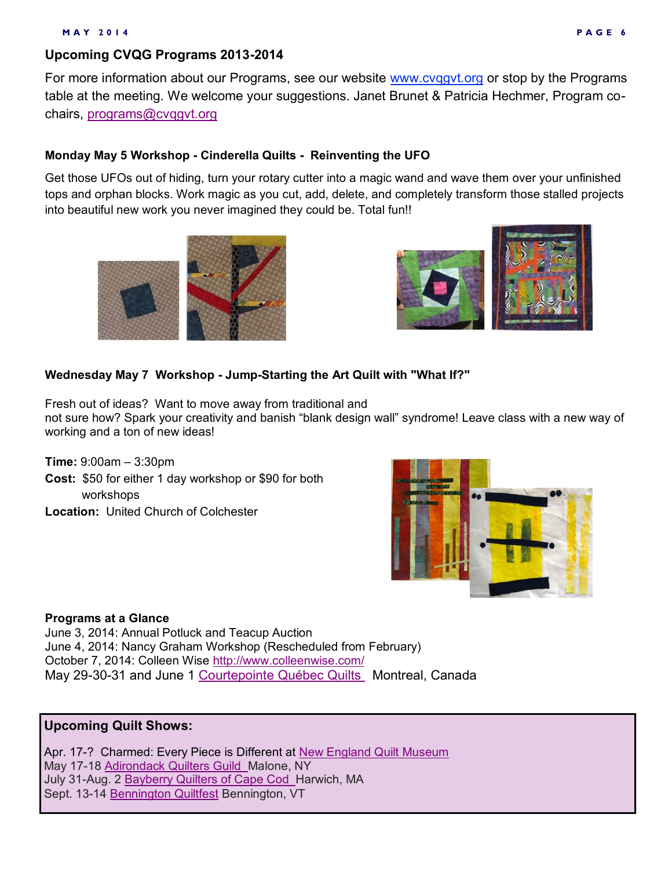## **Upcoming CVQG Programs 2013-2014**

For more information about our Programs, see our website [www.cvqgvt.org](http://www.cvqgvt.org/) or stop by the Programs table at the meeting. We welcome your suggestions. Janet Brunet & Patricia Hechmer, Program cochairs, [programs@cvqgvt.org](mailto:programs@cvqgvt.org)

#### **Monday May 5 Workshop - Cinderella Quilts - Reinventing the UFO**

Get those UFOs out of hiding, turn your rotary cutter into a magic wand and wave them over your unfinished tops and orphan blocks. Work magic as you cut, add, delete, and completely transform those stalled projects into beautiful new work you never imagined they could be. Total fun!!





#### **Wednesday May 7 Workshop - Jump-Starting the Art Quilt with "What If?"**

Fresh out of ideas? Want to move away from traditional and not sure how? Spark your creativity and banish "blank design wall" syndrome! Leave class with a new way of working and a ton of new ideas!

**Time:** 9:00am – 3:30pm **Cost:** \$50 for either 1 day workshop or \$90 for both workshops **Location:** United Church of Colchester



#### **Programs at a Glance**

June 3, 2014: Annual Potluck and Teacup Auction June 4, 2014: Nancy Graham Workshop (Rescheduled from February) October 7, 2014: Colleen Wise <http://www.colleenwise.com/> May 29-30-31 and June 1 [Courtepointe Québec Quilts](http://cqq.ca/salon/a-propos-2/) Montreal, Canada

## **Upcoming Quilt Shows:**

Apr. 17-? Charmed: Every Piece is Different at [New England Quilt Museum](http://www.nequiltmuseum.org) May 17-18 [Adirondack Quilters Guild M](http://www.adirondackquiltersguild.org/)alone, NY July 31-Aug. 2 [Bayberry Quilters of Cape Cod H](https://bayberryquiltersofcapecod.com/)arwich, MA Sept. 13-14 [Bennington Quiltfest](http://www.benningtonquiltfest.com/) Bennington, VT